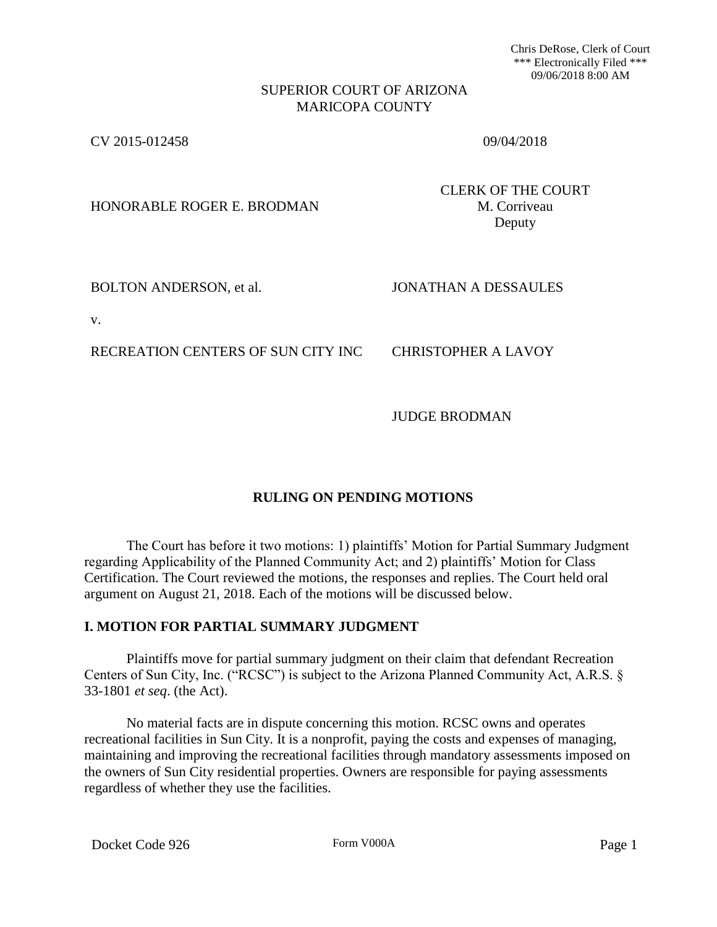Chris DeRose, Clerk of Court \*\*\* Electronically Filed \*\*\* 09/06/2018 8:00 AM

### SUPERIOR COURT OF ARIZONA MARICOPA COUNTY

CV 2015-012458 09/04/2018

HONORABLE ROGER E. BRODMAN M. Corriveau

CLERK OF THE COURT Deputy

BOLTON ANDERSON, et al. **JONATHAN A DESSAULES** 

v.

RECREATION CENTERS OF SUN CITY INC CHRISTOPHER A LAVOY

JUDGE BRODMAN

# **RULING ON PENDING MOTIONS**

The Court has before it two motions: 1) plaintiffs' Motion for Partial Summary Judgment regarding Applicability of the Planned Community Act; and 2) plaintiffs' Motion for Class Certification. The Court reviewed the motions, the responses and replies. The Court held oral argument on August 21, 2018. Each of the motions will be discussed below.

## **I. MOTION FOR PARTIAL SUMMARY JUDGMENT**

Plaintiffs move for partial summary judgment on their claim that defendant Recreation Centers of Sun City, Inc. ("RCSC") is subject to the Arizona Planned Community Act, A.R.S. § 33-1801 *et seq*. (the Act).

No material facts are in dispute concerning this motion. RCSC owns and operates recreational facilities in Sun City. It is a nonprofit, paying the costs and expenses of managing, maintaining and improving the recreational facilities through mandatory assessments imposed on the owners of Sun City residential properties. Owners are responsible for paying assessments regardless of whether they use the facilities.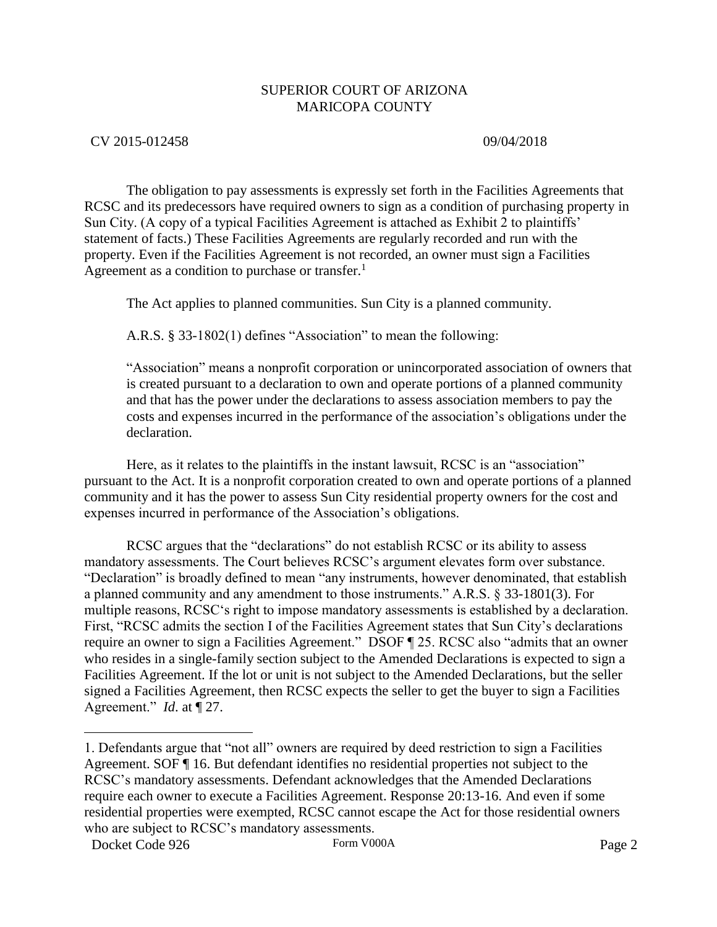## CV 2015-012458 09/04/2018

The obligation to pay assessments is expressly set forth in the Facilities Agreements that RCSC and its predecessors have required owners to sign as a condition of purchasing property in Sun City. (A copy of a typical Facilities Agreement is attached as Exhibit 2 to plaintiffs' statement of facts.) These Facilities Agreements are regularly recorded and run with the property. Even if the Facilities Agreement is not recorded, an owner must sign a Facilities Agreement as a condition to purchase or transfer.<sup>1</sup>

The Act applies to planned communities. Sun City is a planned community.

A.R.S. § 33-1802(1) defines "Association" to mean the following:

"Association" means a nonprofit corporation or unincorporated association of owners that is created pursuant to a declaration to own and operate portions of a planned community and that has the power under the declarations to assess association members to pay the costs and expenses incurred in the performance of the association's obligations under the declaration.

Here, as it relates to the plaintiffs in the instant lawsuit, RCSC is an "association" pursuant to the Act. It is a nonprofit corporation created to own and operate portions of a planned community and it has the power to assess Sun City residential property owners for the cost and expenses incurred in performance of the Association's obligations.

RCSC argues that the "declarations" do not establish RCSC or its ability to assess mandatory assessments. The Court believes RCSC's argument elevates form over substance. "Declaration" is broadly defined to mean "any instruments, however denominated, that establish a planned community and any amendment to those instruments." A.R.S. § 33-1801(3). For multiple reasons, RCSC's right to impose mandatory assessments is established by a declaration. First, "RCSC admits the section I of the Facilities Agreement states that Sun City's declarations require an owner to sign a Facilities Agreement." DSOF ¶ 25. RCSC also "admits that an owner who resides in a single-family section subject to the Amended Declarations is expected to sign a Facilities Agreement. If the lot or unit is not subject to the Amended Declarations, but the seller signed a Facilities Agreement, then RCSC expects the seller to get the buyer to sign a Facilities Agreement." *Id*. at ¶ 27.

 $\overline{a}$ 

<sup>1.</sup> Defendants argue that "not all" owners are required by deed restriction to sign a Facilities Agreement. SOF ¶ 16. But defendant identifies no residential properties not subject to the RCSC's mandatory assessments. Defendant acknowledges that the Amended Declarations require each owner to execute a Facilities Agreement. Response 20:13-16. And even if some residential properties were exempted, RCSC cannot escape the Act for those residential owners who are subject to RCSC's mandatory assessments.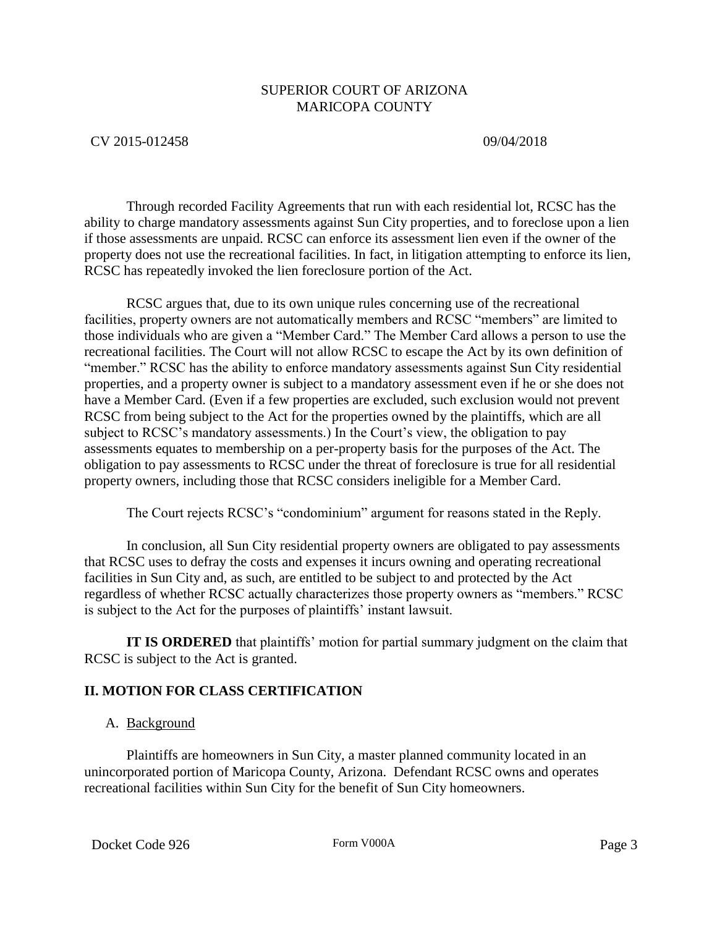## CV 2015-012458 09/04/2018

Through recorded Facility Agreements that run with each residential lot, RCSC has the ability to charge mandatory assessments against Sun City properties, and to foreclose upon a lien if those assessments are unpaid. RCSC can enforce its assessment lien even if the owner of the property does not use the recreational facilities. In fact, in litigation attempting to enforce its lien, RCSC has repeatedly invoked the lien foreclosure portion of the Act.

RCSC argues that, due to its own unique rules concerning use of the recreational facilities, property owners are not automatically members and RCSC "members" are limited to those individuals who are given a "Member Card." The Member Card allows a person to use the recreational facilities. The Court will not allow RCSC to escape the Act by its own definition of "member." RCSC has the ability to enforce mandatory assessments against Sun City residential properties, and a property owner is subject to a mandatory assessment even if he or she does not have a Member Card. (Even if a few properties are excluded, such exclusion would not prevent RCSC from being subject to the Act for the properties owned by the plaintiffs, which are all subject to RCSC's mandatory assessments.) In the Court's view, the obligation to pay assessments equates to membership on a per-property basis for the purposes of the Act. The obligation to pay assessments to RCSC under the threat of foreclosure is true for all residential property owners, including those that RCSC considers ineligible for a Member Card.

The Court rejects RCSC's "condominium" argument for reasons stated in the Reply.

In conclusion, all Sun City residential property owners are obligated to pay assessments that RCSC uses to defray the costs and expenses it incurs owning and operating recreational facilities in Sun City and, as such, are entitled to be subject to and protected by the Act regardless of whether RCSC actually characterizes those property owners as "members." RCSC is subject to the Act for the purposes of plaintiffs' instant lawsuit.

**IT IS ORDERED** that plaintiffs' motion for partial summary judgment on the claim that RCSC is subject to the Act is granted.

# **II. MOTION FOR CLASS CERTIFICATION**

## A. Background

Plaintiffs are homeowners in Sun City, a master planned community located in an unincorporated portion of Maricopa County, Arizona. Defendant RCSC owns and operates recreational facilities within Sun City for the benefit of Sun City homeowners.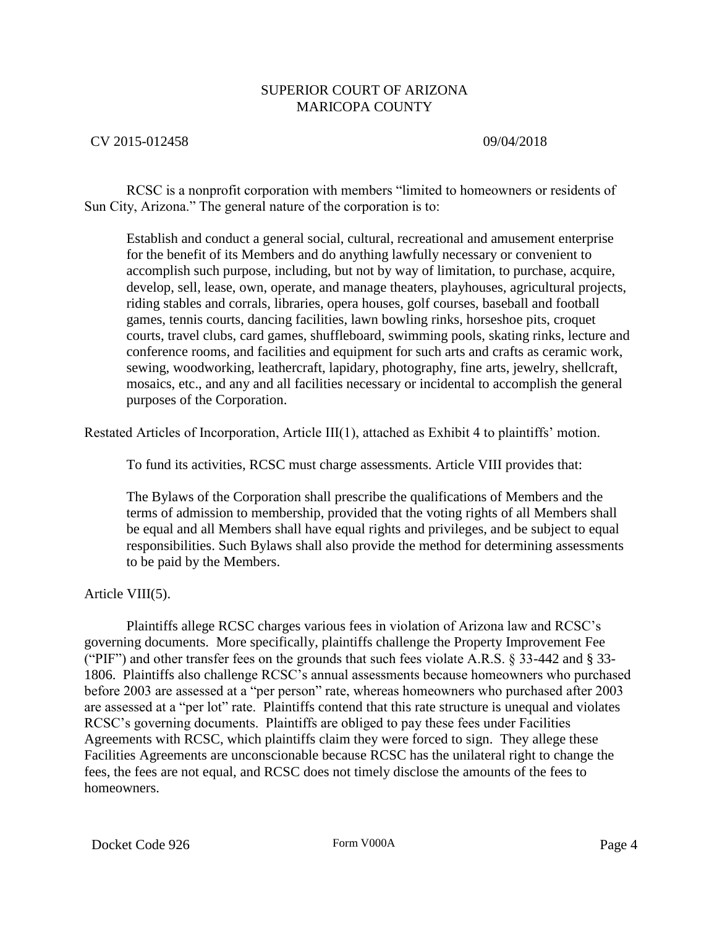## CV 2015-012458 09/04/2018

RCSC is a nonprofit corporation with members "limited to homeowners or residents of Sun City, Arizona." The general nature of the corporation is to:

Establish and conduct a general social, cultural, recreational and amusement enterprise for the benefit of its Members and do anything lawfully necessary or convenient to accomplish such purpose, including, but not by way of limitation, to purchase, acquire, develop, sell, lease, own, operate, and manage theaters, playhouses, agricultural projects, riding stables and corrals, libraries, opera houses, golf courses, baseball and football games, tennis courts, dancing facilities, lawn bowling rinks, horseshoe pits, croquet courts, travel clubs, card games, shuffleboard, swimming pools, skating rinks, lecture and conference rooms, and facilities and equipment for such arts and crafts as ceramic work, sewing, woodworking, leathercraft, lapidary, photography, fine arts, jewelry, shellcraft, mosaics, etc., and any and all facilities necessary or incidental to accomplish the general purposes of the Corporation.

Restated Articles of Incorporation, Article III(1), attached as Exhibit 4 to plaintiffs' motion.

To fund its activities, RCSC must charge assessments. Article VIII provides that:

The Bylaws of the Corporation shall prescribe the qualifications of Members and the terms of admission to membership, provided that the voting rights of all Members shall be equal and all Members shall have equal rights and privileges, and be subject to equal responsibilities. Such Bylaws shall also provide the method for determining assessments to be paid by the Members.

Article VIII(5).

Plaintiffs allege RCSC charges various fees in violation of Arizona law and RCSC's governing documents. More specifically, plaintiffs challenge the Property Improvement Fee ("PIF") and other transfer fees on the grounds that such fees violate A.R.S. § 33-442 and § 33- 1806. Plaintiffs also challenge RCSC's annual assessments because homeowners who purchased before 2003 are assessed at a "per person" rate, whereas homeowners who purchased after 2003 are assessed at a "per lot" rate. Plaintiffs contend that this rate structure is unequal and violates RCSC's governing documents. Plaintiffs are obliged to pay these fees under Facilities Agreements with RCSC, which plaintiffs claim they were forced to sign. They allege these Facilities Agreements are unconscionable because RCSC has the unilateral right to change the fees, the fees are not equal, and RCSC does not timely disclose the amounts of the fees to homeowners.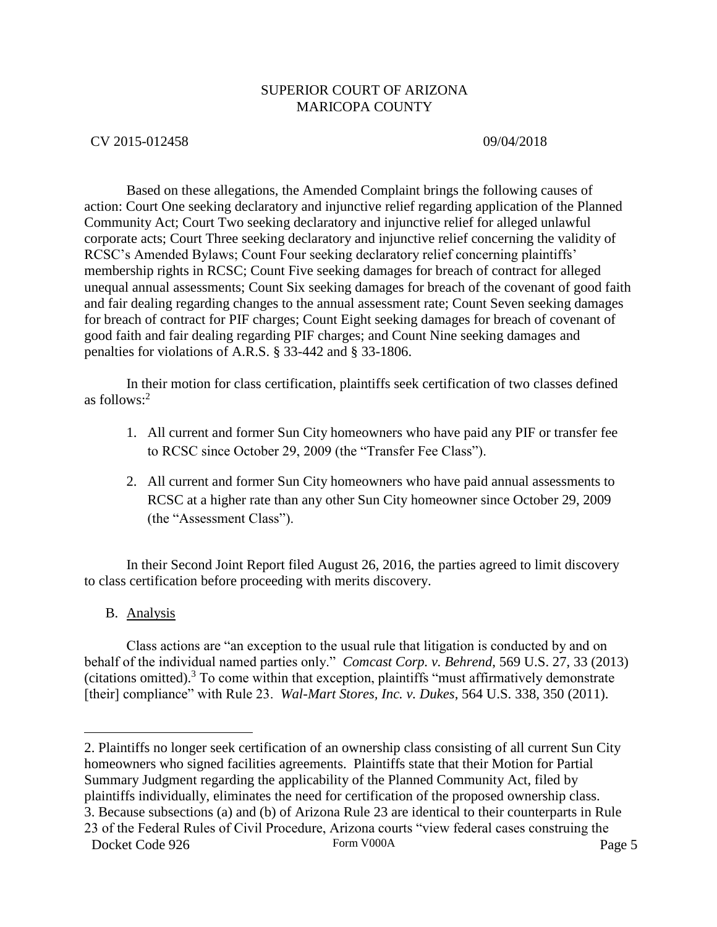## CV 2015-012458 09/04/2018

Based on these allegations, the Amended Complaint brings the following causes of action: Court One seeking declaratory and injunctive relief regarding application of the Planned Community Act; Court Two seeking declaratory and injunctive relief for alleged unlawful corporate acts; Court Three seeking declaratory and injunctive relief concerning the validity of RCSC's Amended Bylaws; Count Four seeking declaratory relief concerning plaintiffs' membership rights in RCSC; Count Five seeking damages for breach of contract for alleged unequal annual assessments; Count Six seeking damages for breach of the covenant of good faith and fair dealing regarding changes to the annual assessment rate; Count Seven seeking damages for breach of contract for PIF charges; Count Eight seeking damages for breach of covenant of good faith and fair dealing regarding PIF charges; and Count Nine seeking damages and penalties for violations of A.R.S. § 33-442 and § 33-1806.

In their motion for class certification, plaintiffs seek certification of two classes defined as follows: $2$ 

- 1. All current and former Sun City homeowners who have paid any PIF or transfer fee to RCSC since October 29, 2009 (the "Transfer Fee Class").
- 2. All current and former Sun City homeowners who have paid annual assessments to RCSC at a higher rate than any other Sun City homeowner since October 29, 2009 (the "Assessment Class").

In their Second Joint Report filed August 26, 2016, the parties agreed to limit discovery to class certification before proceeding with merits discovery.

B. Analysis

 $\overline{a}$ 

Class actions are "an exception to the usual rule that litigation is conducted by and on behalf of the individual named parties only." *Comcast Corp. v. Behrend*, 569 U.S. 27, 33 (2013) (citations omitted).<sup>3</sup> To come within that exception, plaintiffs "must affirmatively demonstrate [their] compliance" with Rule 23. *Wal-Mart Stores, Inc. v. Dukes*, 564 U.S. 338, 350 (2011).

2. Plaintiffs no longer seek certification of an ownership class consisting of all current Sun City homeowners who signed facilities agreements. Plaintiffs state that their Motion for Partial Summary Judgment regarding the applicability of the Planned Community Act, filed by plaintiffs individually, eliminates the need for certification of the proposed ownership class. 3. Because subsections (a) and (b) of Arizona Rule 23 are identical to their counterparts in Rule

23 of the Federal Rules of Civil Procedure, Arizona courts "view federal cases construing the

Docket Code 926 Form V000A Form V000A Page 5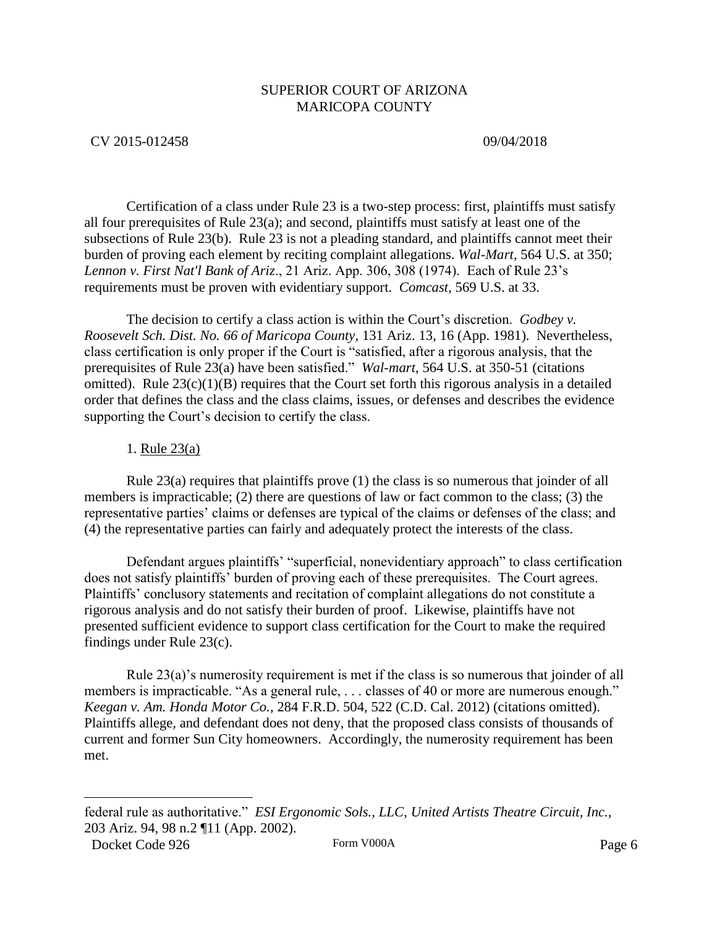## CV 2015-012458 09/04/2018

Certification of a class under Rule 23 is a two-step process: first, plaintiffs must satisfy all four prerequisites of Rule 23(a); and second, plaintiffs must satisfy at least one of the subsections of Rule 23(b). Rule 23 is not a pleading standard, and plaintiffs cannot meet their burden of proving each element by reciting complaint allegations. *Wal-Mart*, 564 U.S. at 350; *Lennon v. First Nat'l Bank of Ariz*., 21 Ariz. App. 306, 308 (1974). Each of Rule 23's requirements must be proven with evidentiary support. *Comcast*, 569 U.S. at 33.

The decision to certify a class action is within the Court's discretion. *Godbey v. Roosevelt Sch. Dist. No. 66 of Maricopa County*, 131 Ariz. 13, 16 (App. 1981). Nevertheless, class certification is only proper if the Court is "satisfied, after a rigorous analysis, that the prerequisites of Rule 23(a) have been satisfied." *Wal-mart*, 564 U.S. at 350-51 (citations omitted). Rule  $23(c)(1)(B)$  requires that the Court set forth this rigorous analysis in a detailed order that defines the class and the class claims, issues, or defenses and describes the evidence supporting the Court's decision to certify the class.

## 1. Rule 23(a)

Rule 23(a) requires that plaintiffs prove (1) the class is so numerous that joinder of all members is impracticable; (2) there are questions of law or fact common to the class; (3) the representative parties' claims or defenses are typical of the claims or defenses of the class; and (4) the representative parties can fairly and adequately protect the interests of the class.

Defendant argues plaintiffs' "superficial, nonevidentiary approach" to class certification does not satisfy plaintiffs' burden of proving each of these prerequisites. The Court agrees. Plaintiffs' conclusory statements and recitation of complaint allegations do not constitute a rigorous analysis and do not satisfy their burden of proof. Likewise, plaintiffs have not presented sufficient evidence to support class certification for the Court to make the required findings under Rule 23(c).

Rule 23(a)'s numerosity requirement is met if the class is so numerous that joinder of all members is impracticable. "As a general rule, ... classes of 40 or more are numerous enough." *Keegan v. Am. Honda Motor Co.,* 284 F.R.D. 504, 522 (C.D. Cal. 2012) (citations omitted). Plaintiffs allege, and defendant does not deny, that the proposed class consists of thousands of current and former Sun City homeowners. Accordingly, the numerosity requirement has been met.

 $\overline{a}$ 

federal rule as authoritative." *ESI Ergonomic Sols., LLC, United Artists Theatre Circuit, Inc.,*  203 Ariz. 94, 98 n.2 ¶11 (App. 2002).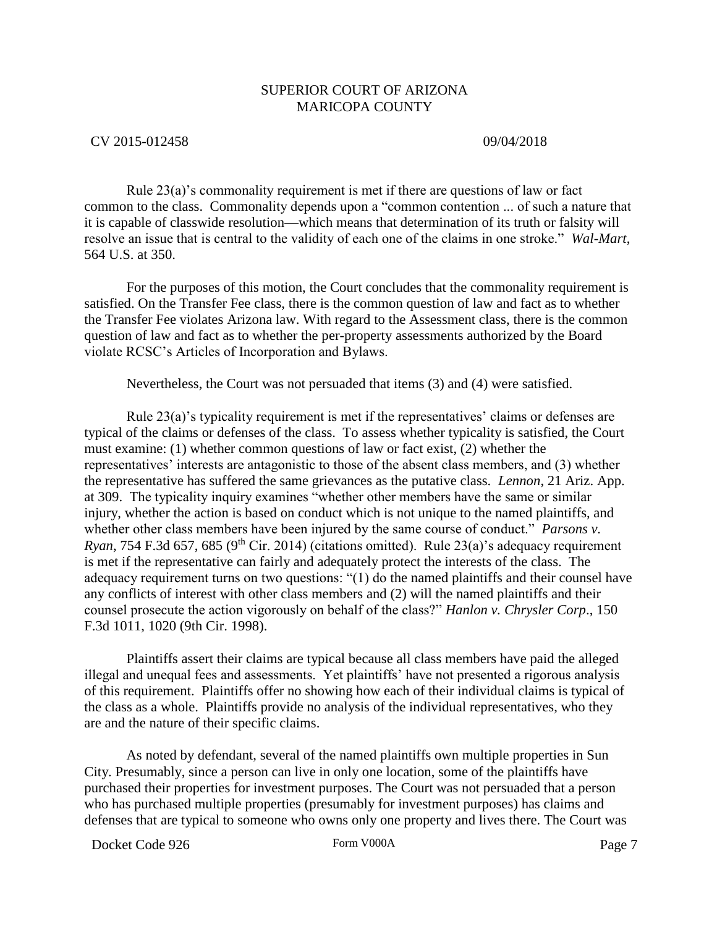## CV 2015-012458 09/04/2018

Rule 23(a)'s commonality requirement is met if there are questions of law or fact common to the class. Commonality depends upon a "common contention ... of such a nature that it is capable of classwide resolution—which means that determination of its truth or falsity will resolve an issue that is central to the validity of each one of the claims in one stroke." *Wal-Mart*, 564 U.S. at 350.

For the purposes of this motion, the Court concludes that the commonality requirement is satisfied. On the Transfer Fee class, there is the common question of law and fact as to whether the Transfer Fee violates Arizona law. With regard to the Assessment class, there is the common question of law and fact as to whether the per-property assessments authorized by the Board violate RCSC's Articles of Incorporation and Bylaws.

Nevertheless, the Court was not persuaded that items (3) and (4) were satisfied.

Rule 23(a)'s typicality requirement is met if the representatives' claims or defenses are typical of the claims or defenses of the class. To assess whether typicality is satisfied, the Court must examine: (1) whether common questions of law or fact exist, (2) whether the representatives' interests are antagonistic to those of the absent class members, and (3) whether the representative has suffered the same grievances as the putative class. *Lennon*, 21 Ariz. App. at 309. The typicality inquiry examines "whether other members have the same or similar injury, whether the action is based on conduct which is not unique to the named plaintiffs, and whether other class members have been injured by the same course of conduct." *Parsons v. Ryan*, 754 F.3d 657, 685 (9<sup>th</sup> Cir. 2014) (citations omitted). Rule 23(a)'s adequacy requirement is met if the representative can fairly and adequately protect the interests of the class. The adequacy requirement turns on two questions: "(1) do the named plaintiffs and their counsel have any conflicts of interest with other class members and (2) will the named plaintiffs and their counsel prosecute the action vigorously on behalf of the class?" *Hanlon v. Chrysler Corp*., 150 F.3d 1011, 1020 (9th Cir. 1998).

Plaintiffs assert their claims are typical because all class members have paid the alleged illegal and unequal fees and assessments. Yet plaintiffs' have not presented a rigorous analysis of this requirement. Plaintiffs offer no showing how each of their individual claims is typical of the class as a whole. Plaintiffs provide no analysis of the individual representatives, who they are and the nature of their specific claims.

As noted by defendant, several of the named plaintiffs own multiple properties in Sun City. Presumably, since a person can live in only one location, some of the plaintiffs have purchased their properties for investment purposes. The Court was not persuaded that a person who has purchased multiple properties (presumably for investment purposes) has claims and defenses that are typical to someone who owns only one property and lives there. The Court was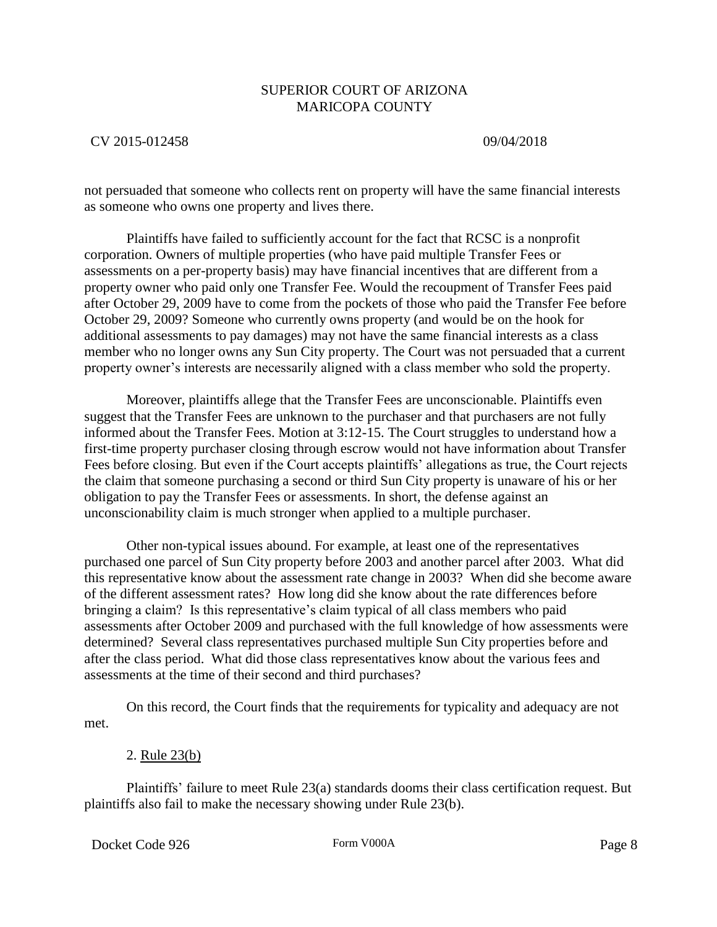## CV 2015-012458 09/04/2018

not persuaded that someone who collects rent on property will have the same financial interests as someone who owns one property and lives there.

Plaintiffs have failed to sufficiently account for the fact that RCSC is a nonprofit corporation. Owners of multiple properties (who have paid multiple Transfer Fees or assessments on a per-property basis) may have financial incentives that are different from a property owner who paid only one Transfer Fee. Would the recoupment of Transfer Fees paid after October 29, 2009 have to come from the pockets of those who paid the Transfer Fee before October 29, 2009? Someone who currently owns property (and would be on the hook for additional assessments to pay damages) may not have the same financial interests as a class member who no longer owns any Sun City property. The Court was not persuaded that a current property owner's interests are necessarily aligned with a class member who sold the property.

Moreover, plaintiffs allege that the Transfer Fees are unconscionable. Plaintiffs even suggest that the Transfer Fees are unknown to the purchaser and that purchasers are not fully informed about the Transfer Fees. Motion at 3:12-15. The Court struggles to understand how a first-time property purchaser closing through escrow would not have information about Transfer Fees before closing. But even if the Court accepts plaintiffs' allegations as true, the Court rejects the claim that someone purchasing a second or third Sun City property is unaware of his or her obligation to pay the Transfer Fees or assessments. In short, the defense against an unconscionability claim is much stronger when applied to a multiple purchaser.

Other non-typical issues abound. For example, at least one of the representatives purchased one parcel of Sun City property before 2003 and another parcel after 2003. What did this representative know about the assessment rate change in 2003? When did she become aware of the different assessment rates? How long did she know about the rate differences before bringing a claim? Is this representative's claim typical of all class members who paid assessments after October 2009 and purchased with the full knowledge of how assessments were determined? Several class representatives purchased multiple Sun City properties before and after the class period. What did those class representatives know about the various fees and assessments at the time of their second and third purchases?

On this record, the Court finds that the requirements for typicality and adequacy are not met.

### 2. Rule 23(b)

Plaintiffs' failure to meet Rule 23(a) standards dooms their class certification request. But plaintiffs also fail to make the necessary showing under Rule 23(b).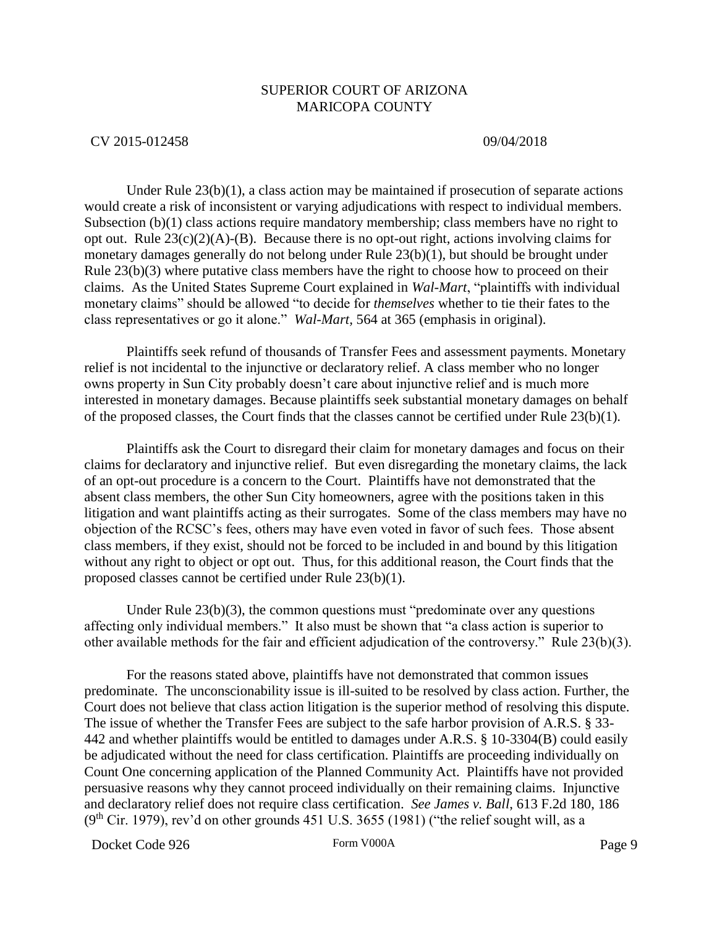### CV 2015-012458 09/04/2018

Under Rule  $23(b)(1)$ , a class action may be maintained if prosecution of separate actions would create a risk of inconsistent or varying adjudications with respect to individual members. Subsection (b)(1) class actions require mandatory membership; class members have no right to opt out. Rule  $23(c)(2)(A)$ -(B). Because there is no opt-out right, actions involving claims for monetary damages generally do not belong under Rule 23(b)(1), but should be brought under Rule 23(b)(3) where putative class members have the right to choose how to proceed on their claims. As the United States Supreme Court explained in *Wal-Mart*, "plaintiffs with individual monetary claims" should be allowed "to decide for *themselves* whether to tie their fates to the class representatives or go it alone." *Wal-Mart,* 564 at 365 (emphasis in original).

Plaintiffs seek refund of thousands of Transfer Fees and assessment payments. Monetary relief is not incidental to the injunctive or declaratory relief. A class member who no longer owns property in Sun City probably doesn't care about injunctive relief and is much more interested in monetary damages. Because plaintiffs seek substantial monetary damages on behalf of the proposed classes, the Court finds that the classes cannot be certified under Rule 23(b)(1).

Plaintiffs ask the Court to disregard their claim for monetary damages and focus on their claims for declaratory and injunctive relief. But even disregarding the monetary claims, the lack of an opt-out procedure is a concern to the Court. Plaintiffs have not demonstrated that the absent class members, the other Sun City homeowners, agree with the positions taken in this litigation and want plaintiffs acting as their surrogates. Some of the class members may have no objection of the RCSC's fees, others may have even voted in favor of such fees. Those absent class members, if they exist, should not be forced to be included in and bound by this litigation without any right to object or opt out. Thus, for this additional reason, the Court finds that the proposed classes cannot be certified under Rule 23(b)(1).

Under Rule 23(b)(3), the common questions must "predominate over any questions affecting only individual members." It also must be shown that "a class action is superior to other available methods for the fair and efficient adjudication of the controversy." Rule 23(b)(3).

For the reasons stated above, plaintiffs have not demonstrated that common issues predominate. The unconscionability issue is ill-suited to be resolved by class action. Further, the Court does not believe that class action litigation is the superior method of resolving this dispute. The issue of whether the Transfer Fees are subject to the safe harbor provision of A.R.S. § 33- 442 and whether plaintiffs would be entitled to damages under A.R.S. § 10-3304(B) could easily be adjudicated without the need for class certification. Plaintiffs are proceeding individually on Count One concerning application of the Planned Community Act. Plaintiffs have not provided persuasive reasons why they cannot proceed individually on their remaining claims. Injunctive and declaratory relief does not require class certification. *See James v. Ball*, 613 F.2d 180, 186  $(9<sup>th</sup> Cir. 1979)$ , rev'd on other grounds 451 U.S. 3655 (1981) ("the relief sought will, as a